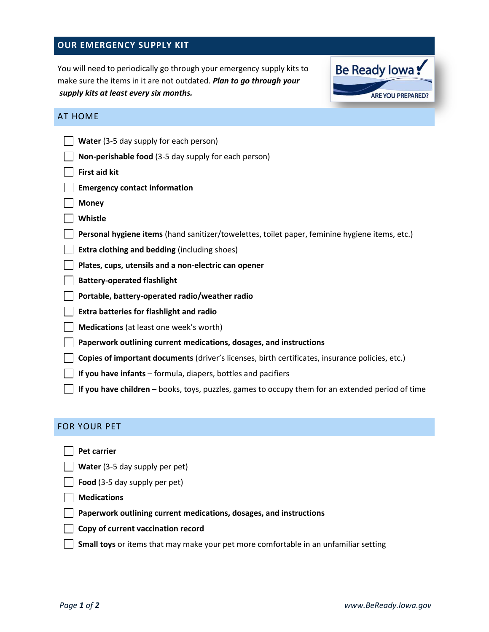### **OUR EMERGENCY SUPPLY KIT**

You will need to periodically go through your emergency supply kits to make sure the items in it are not outdated. *Plan to go through your supply kits at least every six months.*



#### AT HOME

| Water (3-5 day supply for each person)                                                          |
|-------------------------------------------------------------------------------------------------|
| Non-perishable food (3-5 day supply for each person)                                            |
| <b>First aid kit</b>                                                                            |
| <b>Emergency contact information</b>                                                            |
| <b>Money</b>                                                                                    |
| Whistle                                                                                         |
| Personal hygiene items (hand sanitizer/towelettes, toilet paper, feminine hygiene items, etc.)  |
| <b>Extra clothing and bedding (including shoes)</b>                                             |
| Plates, cups, utensils and a non-electric can opener                                            |
| <b>Battery-operated flashlight</b>                                                              |
| Portable, battery-operated radio/weather radio                                                  |
| <b>Extra batteries for flashlight and radio</b>                                                 |
| Medications (at least one week's worth)                                                         |
| Paperwork outlining current medications, dosages, and instructions                              |
| Copies of important documents (driver's licenses, birth certificates, insurance policies, etc.) |
| If you have infants $-$ formula, diapers, bottles and pacifiers                                 |

 **If you have children** – books, toys, puzzles, games to occupy them for an extended period of time

### FOR YOUR PET

| FOR YOUR PET                                                                         |
|--------------------------------------------------------------------------------------|
| Pet carrier                                                                          |
| Water (3-5 day supply per pet)                                                       |
| Food (3-5 day supply per pet)                                                        |
| <b>Medications</b>                                                                   |
| Paperwork outlining current medications, dosages, and instructions                   |
| Copy of current vaccination record                                                   |
| Small toys or items that may make your pet more comfortable in an unfamiliar setting |